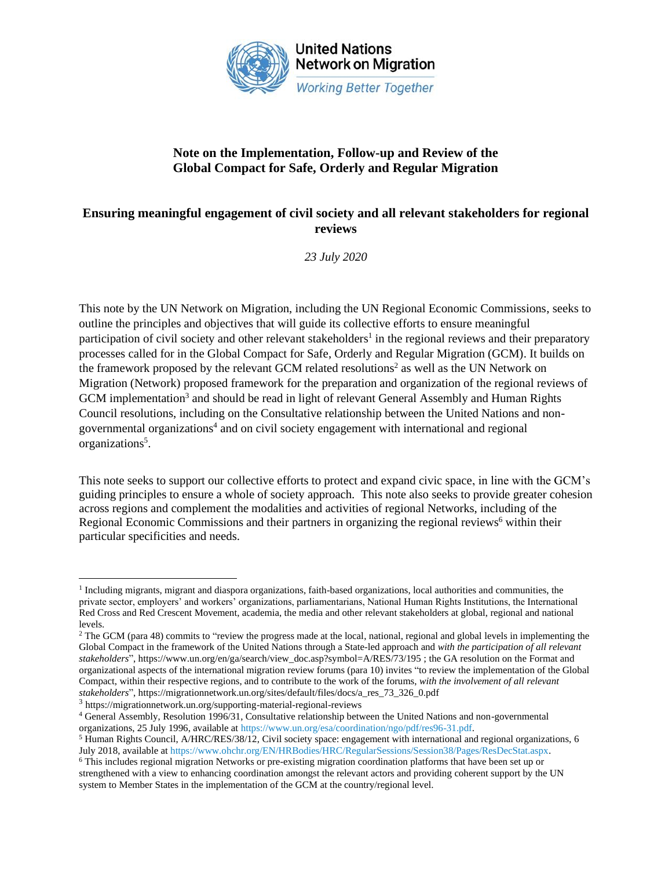

### **Note on the Implementation, Follow-up and Review of the Global Compact for Safe, Orderly and Regular Migration**

### **Ensuring meaningful engagement of civil society and all relevant stakeholders for regional reviews**

*23 July 2020*

This note by the UN Network on Migration, including the UN Regional Economic Commissions, seeks to outline the principles and objectives that will guide its collective efforts to ensure meaningful participation of civil society and other relevant stakeholders<sup>1</sup> in the regional reviews and their preparatory processes called for in the Global Compact for Safe, Orderly and Regular Migration (GCM). It builds on the framework proposed by the relevant GCM related resolutions<sup>2</sup> as well as the UN Network on Migration (Network) proposed framework for the preparation and organization of the regional reviews of GCM implementation<sup>3</sup> and should be read in light of relevant General Assembly and Human Rights Council resolutions, including on the Consultative relationship between the United Nations and nongovernmental organizations<sup>4</sup> and on civil society engagement with international and regional organizations<sup>5</sup>.

This note seeks to support our collective efforts to protect and expand civic space, in line with the GCM's guiding principles to ensure a whole of society approach. This note also seeks to provide greater cohesion across regions and complement the modalities and activities of regional Networks, including of the Regional Economic Commissions and their partners in organizing the regional reviews<sup>6</sup> within their particular specificities and needs.

3 https://migrationnetwork.un.org/supporting-material-regional-reviews

<sup>4</sup> General Assembly, Resolution 1996/31, Consultative relationship between the United Nations and non-governmental organizations, 25 July 1996, available a[t https://www.un.org/esa/coordination/ngo/pdf/res96-31.pdf.](https://www.un.org/esa/coordination/ngo/pdf/res96-31.pdf)

<sup>&</sup>lt;sup>1</sup> Including migrants, migrant and diaspora organizations, faith-based organizations, local authorities and communities, the private sector, employers' and workers' organizations, parliamentarians, National Human Rights Institutions, the International Red Cross and Red Crescent Movement, academia, the media and other relevant stakeholders at global, regional and national levels.

<sup>&</sup>lt;sup>2</sup> The GCM (para 48) commits to "review the progress made at the local, national, regional and global levels in implementing the Global Compact in the framework of the United Nations through a State-led approach and *with the participation of all relevant stakeholders*", https://www.un.org/en/ga/search/view\_doc.asp?symbol=A/RES/73/195 ; the GA resolution on the Format and organizational aspects of the international migration review forums (para 10) invites "to review the implementation of the Global Compact, within their respective regions, and to contribute to the work of the forums, *with the involvement of all relevant stakeholders*", https://migrationnetwork.un.org/sites/default/files/docs/a\_res\_73\_326\_0.pdf

<sup>5</sup> Human Rights Council, A/HRC/RES/38/12, Civil society space: engagement with international and regional organizations, 6 July 2018, available a[t https://www.ohchr.org/EN/HRBodies/HRC/RegularSessions/Session38/Pages/ResDecStat.aspx.](https://www.ohchr.org/EN/HRBodies/HRC/RegularSessions/Session38/Pages/ResDecStat.aspx)

<sup>6</sup> This includes regional migration Networks or pre-existing migration coordination platforms that have been set up or strengthened with a view to enhancing coordination amongst the relevant actors and providing coherent support by the UN system to Member States in the implementation of the GCM at the country/regional level.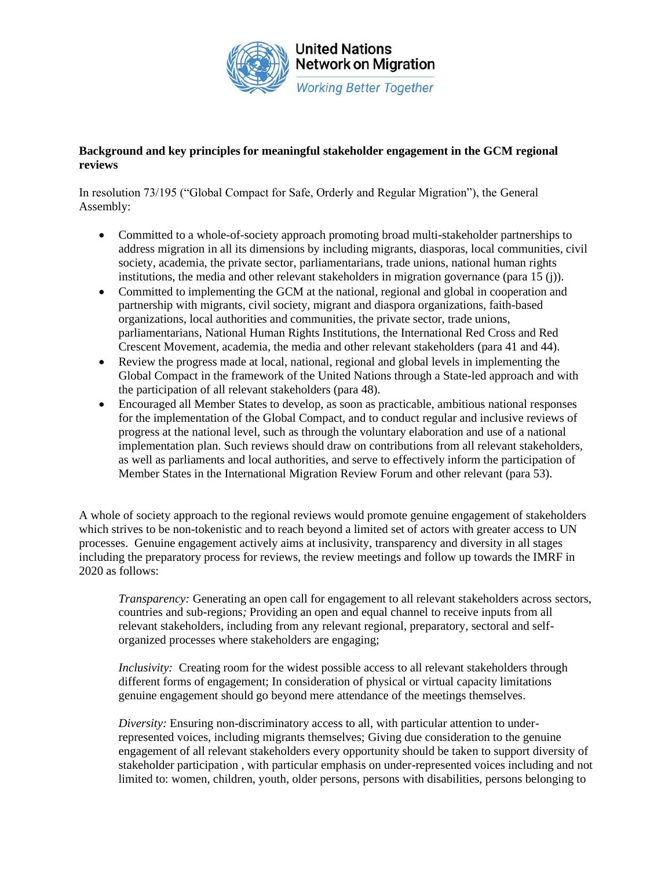

### **Background and key principles for meaningful stakeholder engagement in the GCM regional reviews**

In resolution 73/195 ("Global Compact for Safe, Orderly and Regular Migration"), the General Assembly:

- Committed to a whole-of-society approach promoting broad multi-stakeholder partnerships to address migration in all its dimensions by including migrants, diasporas, local communities, civil society, academia, the private sector, parliamentarians, trade unions, national human rights institutions, the media and other relevant stakeholders in migration governance (para 15 (j)).
- Committed to implementing the GCM at the national, regional and global in cooperation and partnership with migrants, civil society, migrant and diaspora organizations, faith-based organizations, local authorities and communities, the private sector, trade unions, parliamentarians, National Human Rights Institutions, the International Red Cross and Red Crescent Movement, academia, the media and other relevant stakeholders (para 41 and 44).
- Review the progress made at local, national, regional and global levels in implementing the Global Compact in the framework of the United Nations through a State-led approach and with the participation of all relevant stakeholders (para 48).
- Encouraged all Member States to develop, as soon as practicable, ambitious national responses for the implementation of the Global Compact, and to conduct regular and inclusive reviews of progress at the national level, such as through the voluntary elaboration and use of a national implementation plan. Such reviews should draw on contributions from all relevant stakeholders, as well as parliaments and local authorities, and serve to effectively inform the participation of Member States in the International Migration Review Forum and other relevant (para 53).

A whole of society approach to the regional reviews would promote genuine engagement of stakeholders which strives to be non-tokenistic and to reach beyond a limited set of actors with greater access to UN processes. Genuine engagement actively aims at inclusivity, transparency and diversity in all stages including the preparatory process for reviews, the review meetings and follow up towards the IMRF in 2020 as follows:

*Transparency:* Generating an open call for engagement to all relevant stakeholders across sectors, countries and sub-regions*;* Providing an open and equal channel to receive inputs from all relevant stakeholders, including from any relevant regional, preparatory, sectoral and selforganized processes where stakeholders are engaging;

*Inclusivity:* Creating room for the widest possible access to all relevant stakeholders through different forms of engagement; In consideration of physical or virtual capacity limitations genuine engagement should go beyond mere attendance of the meetings themselves.

*Diversity:* Ensuring non-discriminatory access to all, with particular attention to underrepresented voices, including migrants themselves; Giving due consideration to the genuine engagement of all relevant stakeholders every opportunity should be taken to support diversity of stakeholder participation , with particular emphasis on under-represented voices including and not limited to: women, children, youth, older persons, persons with disabilities, persons belonging to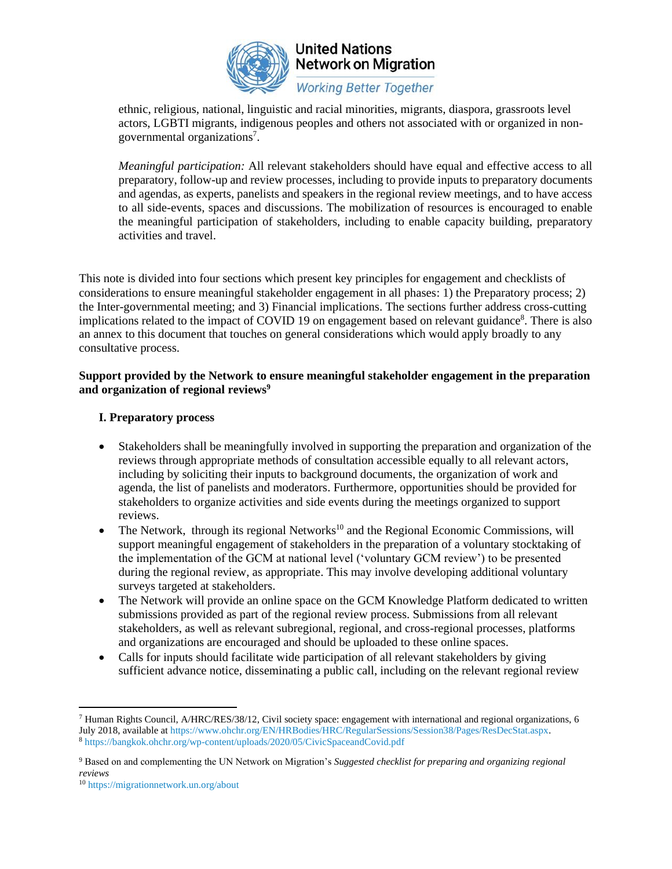

# **United Nations Network on Migration**

**Working Better Together** 

ethnic, religious, national, linguistic and racial minorities, migrants, diaspora, grassroots level actors, LGBTI migrants, indigenous peoples and others not associated with or organized in nongovernmental organizations<sup>7</sup>.

*Meaningful participation:* All relevant stakeholders should have equal and effective access to all preparatory, follow-up and review processes, including to provide inputs to preparatory documents and agendas, as experts, panelists and speakers in the regional review meetings, and to have access to all side-events, spaces and discussions. The mobilization of resources is encouraged to enable the meaningful participation of stakeholders, including to enable capacity building, preparatory activities and travel.

This note is divided into four sections which present key principles for engagement and checklists of considerations to ensure meaningful stakeholder engagement in all phases: 1) the Preparatory process; 2) the Inter-governmental meeting; and 3) Financial implications. The sections further address cross-cutting implications related to the impact of COVID 19 on engagement based on relevant guidance<sup>8</sup>. There is also an annex to this document that touches on general considerations which would apply broadly to any consultative process.

### **Support provided by the Network to ensure meaningful stakeholder engagement in the preparation and organization of regional reviews<sup>9</sup>**

### **I. Preparatory process**

- Stakeholders shall be meaningfully involved in supporting the preparation and organization of the reviews through appropriate methods of consultation accessible equally to all relevant actors, including by soliciting their inputs to background documents, the organization of work and agenda, the list of panelists and moderators. Furthermore, opportunities should be provided for stakeholders to organize activities and side events during the meetings organized to support reviews.
- The Network, through its regional Networks<sup>10</sup> and the Regional Economic Commissions, will support meaningful engagement of stakeholders in the preparation of a voluntary stocktaking of the implementation of the GCM at national level ('voluntary GCM review') to be presented during the regional review, as appropriate. This may involve developing additional voluntary surveys targeted at stakeholders.
- The Network will provide an online space on the GCM Knowledge Platform dedicated to written submissions provided as part of the regional review process. Submissions from all relevant stakeholders, as well as relevant subregional, regional, and cross-regional processes, platforms and organizations are encouraged and should be uploaded to these online spaces.
- Calls for inputs should facilitate wide participation of all relevant stakeholders by giving sufficient advance notice, disseminating a public call, including on the relevant regional review

<sup>7</sup> Human Rights Council, A/HRC/RES/38/12, Civil society space: engagement with international and regional organizations, 6 July 2018, available a[t https://www.ohchr.org/EN/HRBodies/HRC/RegularSessions/Session38/Pages/ResDecStat.aspx.](https://www.ohchr.org/EN/HRBodies/HRC/RegularSessions/Session38/Pages/ResDecStat.aspx) <sup>8</sup> <https://bangkok.ohchr.org/wp-content/uploads/2020/05/CivicSpaceandCovid.pdf>

<sup>9</sup> Based on and complementing the UN Network on Migration's *Suggested checklist for preparing and organizing regional reviews*

<sup>10</sup> <https://migrationnetwork.un.org/about>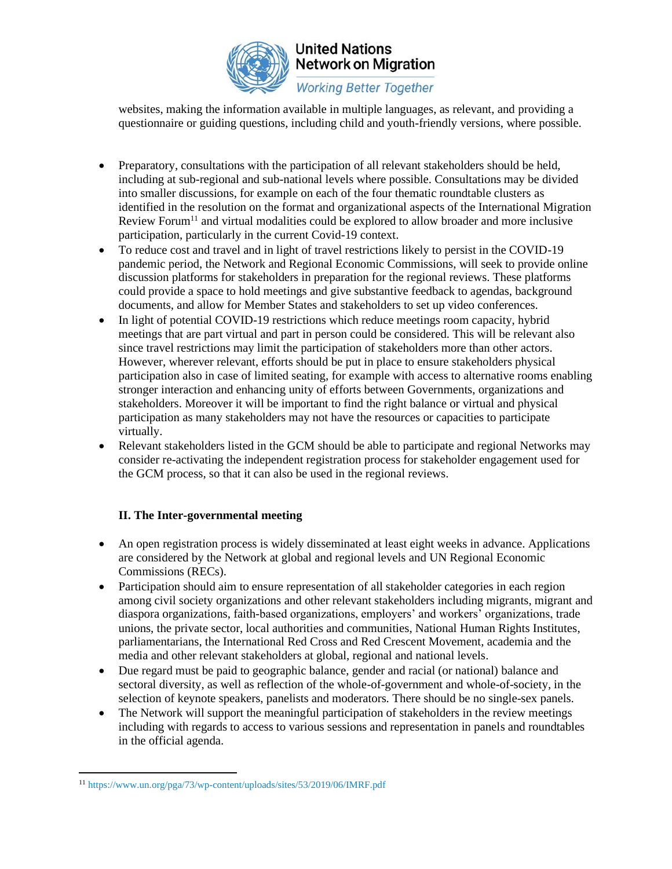

## **United Nations Network on Migration**

**Working Better Together** 

websites, making the information available in multiple languages, as relevant, and providing a questionnaire or guiding questions, including child and youth-friendly versions, where possible.

- Preparatory, consultations with the participation of all relevant stakeholders should be held, including at sub-regional and sub-national levels where possible. Consultations may be divided into smaller discussions, for example on each of the four thematic roundtable clusters as identified in the resolution on the format and organizational aspects of the International Migration Review Forum<sup>11</sup> and virtual modalities could be explored to allow broader and more inclusive participation, particularly in the current Covid-19 context.
- To reduce cost and travel and in light of travel restrictions likely to persist in the COVID-19 pandemic period, the Network and Regional Economic Commissions, will seek to provide online discussion platforms for stakeholders in preparation for the regional reviews. These platforms could provide a space to hold meetings and give substantive feedback to agendas, background documents, and allow for Member States and stakeholders to set up video conferences.
- In light of potential COVID-19 restrictions which reduce meetings room capacity, hybrid meetings that are part virtual and part in person could be considered. This will be relevant also since travel restrictions may limit the participation of stakeholders more than other actors. However, wherever relevant, efforts should be put in place to ensure stakeholders physical participation also in case of limited seating, for example with access to alternative rooms enabling stronger interaction and enhancing unity of efforts between Governments, organizations and stakeholders. Moreover it will be important to find the right balance or virtual and physical participation as many stakeholders may not have the resources or capacities to participate virtually.
- Relevant stakeholders listed in the GCM should be able to participate and regional Networks may consider re-activating the independent registration process for stakeholder engagement used for the GCM process, so that it can also be used in the regional reviews.

### **II. The Inter-governmental meeting**

- An open registration process is widely disseminated at least eight weeks in advance. Applications are considered by the Network at global and regional levels and UN Regional Economic Commissions (RECs).
- Participation should aim to ensure representation of all stakeholder categories in each region among civil society organizations and other relevant stakeholders including migrants, migrant and diaspora organizations, faith-based organizations, employers' and workers' organizations, trade unions, the private sector, local authorities and communities, National Human Rights Institutes, parliamentarians, the International Red Cross and Red Crescent Movement, academia and the media and other relevant stakeholders at global, regional and national levels.
- Due regard must be paid to geographic balance, gender and racial (or national) balance and sectoral diversity, as well as reflection of the whole-of-government and whole-of-society, in the selection of keynote speakers, panelists and moderators. There should be no single-sex panels.
- The Network will support the meaningful participation of stakeholders in the review meetings including with regards to access to various sessions and representation in panels and roundtables in the official agenda.

<sup>11</sup> <https://www.un.org/pga/73/wp-content/uploads/sites/53/2019/06/IMRF.pdf>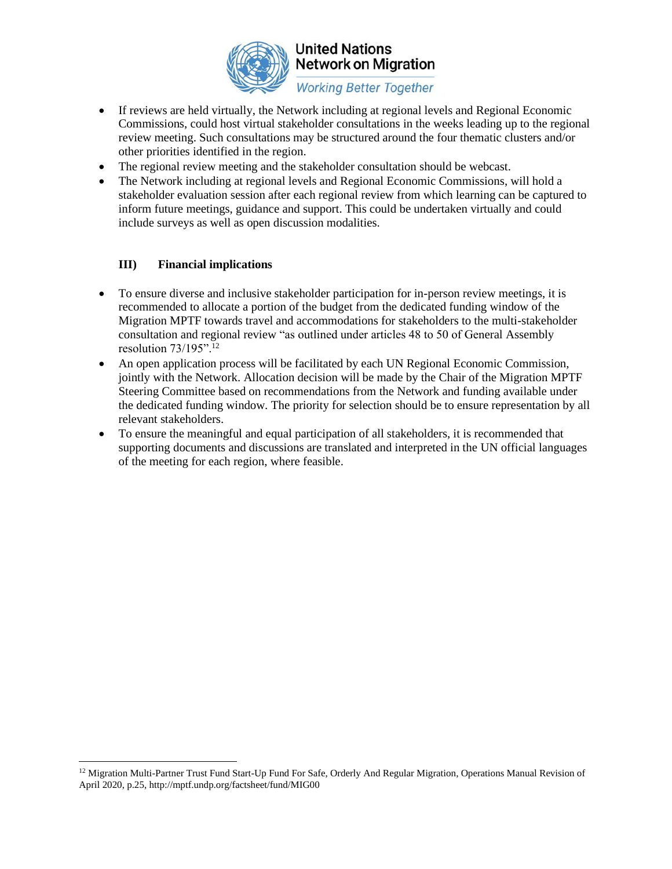

### **United Nations Network on Migration**

**Working Better Together** 

- If reviews are held virtually, the Network including at regional levels and Regional Economic Commissions, could host virtual stakeholder consultations in the weeks leading up to the regional review meeting. Such consultations may be structured around the four thematic clusters and/or other priorities identified in the region.
- The regional review meeting and the stakeholder consultation should be webcast.
- The Network including at regional levels and Regional Economic Commissions, will hold a stakeholder evaluation session after each regional review from which learning can be captured to inform future meetings, guidance and support. This could be undertaken virtually and could include surveys as well as open discussion modalities.

### **III) Financial implications**

- To ensure diverse and inclusive stakeholder participation for in-person review meetings, it is recommended to allocate a portion of the budget from the dedicated funding window of the Migration MPTF towards travel and accommodations for stakeholders to the multi-stakeholder consultation and regional review "as outlined under articles 48 to 50 of General Assembly resolution 73/195".<sup>12</sup>
- An open application process will be facilitated by each UN Regional Economic Commission, jointly with the Network. Allocation decision will be made by the Chair of the Migration MPTF Steering Committee based on recommendations from the Network and funding available under the dedicated funding window. The priority for selection should be to ensure representation by all relevant stakeholders.
- To ensure the meaningful and equal participation of all stakeholders, it is recommended that supporting documents and discussions are translated and interpreted in the UN official languages of the meeting for each region, where feasible.

<sup>&</sup>lt;sup>12</sup> Migration Multi-Partner Trust Fund Start-Up Fund For Safe, Orderly And Regular Migration, Operations Manual Revision of April 2020, p.25, http://mptf.undp.org/factsheet/fund/MIG00